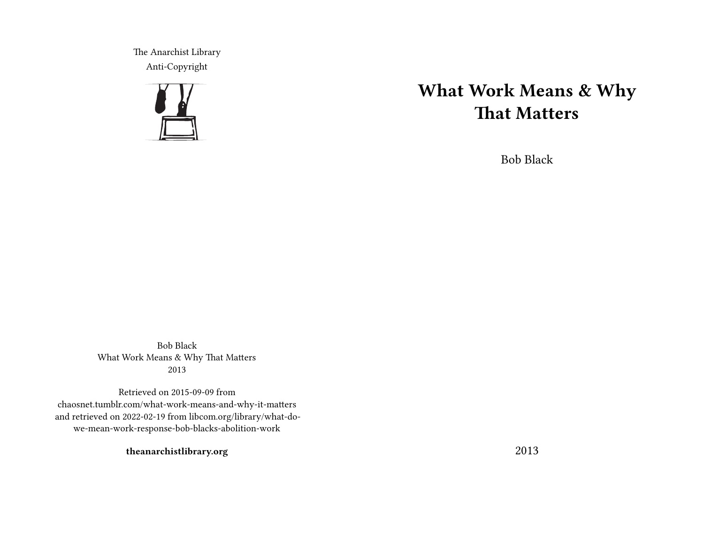The Anarchist Library Anti-Copyright



# **What Work Means & Why That Matters**

Bob Black

Bob Black What Work Means & Why That Matters 2013

Retrieved on 2015-09-09 from chaosnet.tumblr.com/what-work-means-and-why-it-matters and retrieved on 2022-02-19 from libcom.org/library/what-dowe-mean-work-response-bob-blacks-abolition-work

**theanarchistlibrary.org**

2013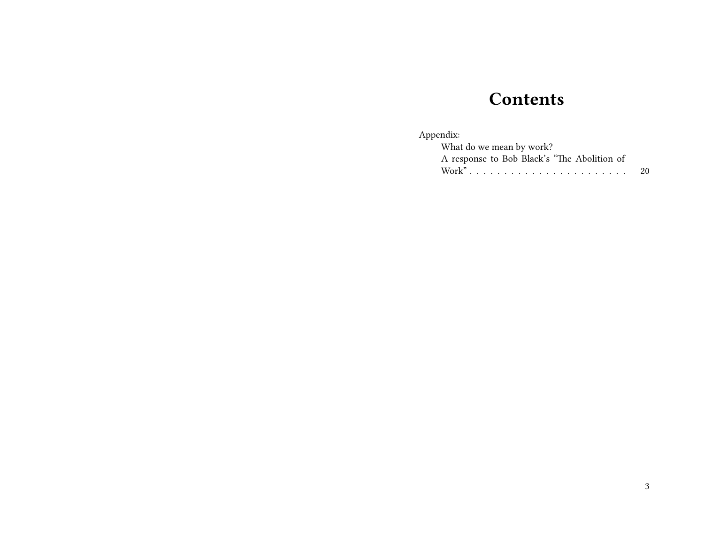## **Contents**

### Appendix:

| What do we mean by work?                    |     |
|---------------------------------------------|-----|
| A response to Bob Black's "The Abolition of |     |
|                                             | -20 |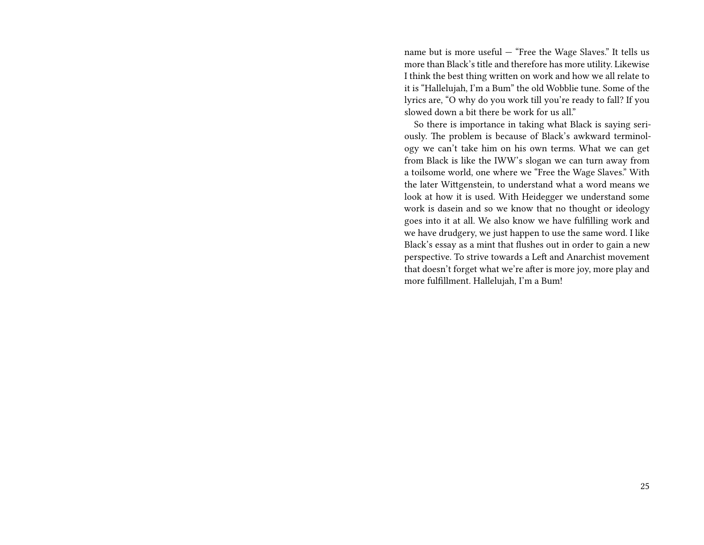name but is more useful — "Free the Wage Slaves." It tells us more than Black's title and therefore has more utility. Likewise I think the best thing written on work and how we all relate to it is "Hallelujah, I'm a Bum" the old Wobblie tune. Some of the lyrics are, "O why do you work till you're ready to fall? If you slowed down a bit there be work for us all."

So there is importance in taking what Black is saying seriously. The problem is because of Black's awkward terminology we can't take him on his own terms. What we can get from Black is like the IWW's slogan we can turn away from a toilsome world, one where we "Free the Wage Slaves." With the later Wittgenstein, to understand what a word means we look at how it is used. With Heidegger we understand some work is dasein and so we know that no thought or ideology goes into it at all. We also know we have fulfilling work and we have drudgery, we just happen to use the same word. I like Black's essay as a mint that flushes out in order to gain a new perspective. To strive towards a Left and Anarchist movement that doesn't forget what we're after is more joy, more play and more fulfillment. Hallelujah, I'm a Bum!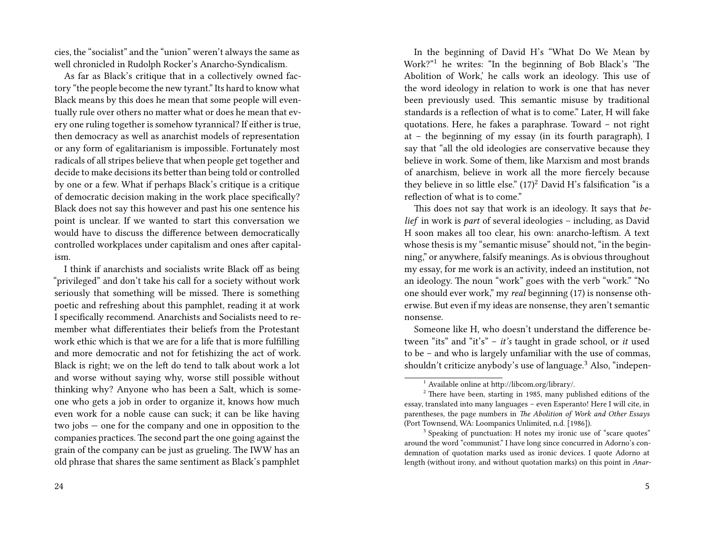cies, the "socialist" and the "union" weren't always the same as well chronicled in Rudolph Rocker's Anarcho-Syndicalism.

As far as Black's critique that in a collectively owned factory "the people become the new tyrant." Its hard to know what Black means by this does he mean that some people will eventually rule over others no matter what or does he mean that every one ruling together is somehow tyrannical? If either is true, then democracy as well as anarchist models of representation or any form of egalitarianism is impossible. Fortunately most radicals of all stripes believe that when people get together and decide to make decisions its better than being told or controlled by one or a few. What if perhaps Black's critique is a critique of democratic decision making in the work place specifically? Black does not say this however and past his one sentence his point is unclear. If we wanted to start this conversation we would have to discuss the difference between democratically controlled workplaces under capitalism and ones after capitalism.

I think if anarchists and socialists write Black off as being "privileged" and don't take his call for a society without work seriously that something will be missed. There is something poetic and refreshing about this pamphlet, reading it at work I specifically recommend. Anarchists and Socialists need to remember what differentiates their beliefs from the Protestant work ethic which is that we are for a life that is more fulfilling and more democratic and not for fetishizing the act of work. Black is right; we on the left do tend to talk about work a lot and worse without saying why, worse still possible without thinking why? Anyone who has been a Salt, which is someone who gets a job in order to organize it, knows how much even work for a noble cause can suck; it can be like having two jobs — one for the company and one in opposition to the companies practices. The second part the one going against the grain of the company can be just as grueling. The IWW has an old phrase that shares the same sentiment as Black's pamphlet

In the beginning of David H's "What Do We Mean by Work?"<sup>1</sup> he writes: "In the beginning of Bob Black's 'The Abolition of Work,' he calls work an ideology. This use of the word ideology in relation to work is one that has never been previously used. This semantic misuse by traditional standards is a reflection of what is to come." Later, H will fake quotations. Here, he fakes a paraphrase. Toward – not right at – the beginning of my essay (in its fourth paragraph), I say that "all the old ideologies are conservative because they believe in work. Some of them, like Marxism and most brands of anarchism, believe in work all the more fiercely because they believe in so little else."  $(17)^2$  David H's falsification "is a reflection of what is to come."

This does not say that work is an ideology. It says that *belief* in work is *part* of several ideologies – including, as David H soon makes all too clear, his own: anarcho-leftism. A text whose thesis is my "semantic misuse" should not, "in the beginning," or anywhere, falsify meanings. As is obvious throughout my essay, for me work is an activity, indeed an institution, not an ideology. The noun "work" goes with the verb "work." "No one should ever work," my *real* beginning (17) is nonsense otherwise. But even if my ideas are nonsense, they aren't semantic nonsense.

Someone like H, who doesn't understand the difference between "its" and "it's" – *it's* taught in grade school, or *it* used to be – and who is largely unfamiliar with the use of commas, shouldn't criticize anybody's use of language.<sup>3</sup> Also, "indepen-

 $^{-1}$  Available online at http://libcom.org/library/.

 $2$  There have been, starting in 1985, many published editions of the essay, translated into many languages – even Esperanto! Here I will cite, in parentheses, the page numbers in *The Abolition of Work and Other Essays* (Port Townsend, WA: Loompanics Unlimited, n.d. [1986]).

<sup>&</sup>lt;sup>3</sup> Speaking of punctuation: H notes my ironic use of "scare quotes" around the word "communist." I have long since concurred in Adorno's condemnation of quotation marks used as ironic devices. I quote Adorno at length (without irony, and without quotation marks) on this point in *Anar-*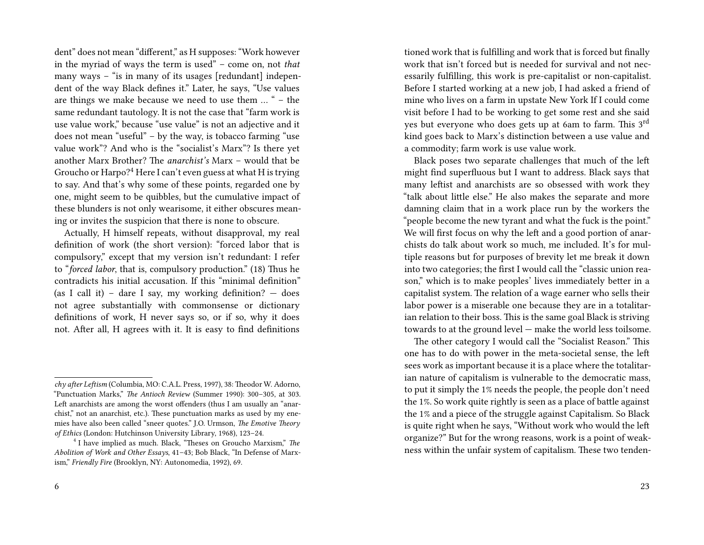dent" does not mean "different," as H supposes: "Work however in the myriad of ways the term is used" – come on, not *that* many ways – "is in many of its usages [redundant] independent of the way Black defines it." Later, he says, "Use values are things we make because we need to use them … " – the same redundant tautology. It is not the case that "farm work is use value work," because "use value" is not an adjective and it does not mean "useful" – by the way, is tobacco farming "use value work"? And who is the "socialist's Marx"? Is there yet another Marx Brother? The *anarchist's* Marx – would that be Groucho or Harpo?<sup>4</sup> Here I can't even guess at what H is trying to say. And that's why some of these points, regarded one by one, might seem to be quibbles, but the cumulative impact of these blunders is not only wearisome, it either obscures meaning or invites the suspicion that there is none to obscure.

Actually, H himself repeats, without disapproval, my real definition of work (the short version): "forced labor that is compulsory," except that my version isn't redundant: I refer to "*forced labor*, that is, compulsory production." (18) Thus he contradicts his initial accusation. If this "minimal definition" (as I call it) – dare I say, my working definition?  $-$  does not agree substantially with commonsense or dictionary definitions of work, H never says so, or if so, why it does not. After all, H agrees with it. It is easy to find definitions tioned work that is fulfilling and work that is forced but finally work that isn't forced but is needed for survival and not necessarily fulfilling, this work is pre-capitalist or non-capitalist. Before I started working at a new job, I had asked a friend of mine who lives on a farm in upstate New York If I could come visit before I had to be working to get some rest and she said yes but everyone who does gets up at 6am to farm. This 3rd kind goes back to Marx's distinction between a use value and a commodity; farm work is use value work.

Black poses two separate challenges that much of the left might find superfluous but I want to address. Black says that many leftist and anarchists are so obsessed with work they "talk about little else." He also makes the separate and more damning claim that in a work place run by the workers the "people become the new tyrant and what the fuck is the point." We will first focus on why the left and a good portion of anarchists do talk about work so much, me included. It's for multiple reasons but for purposes of brevity let me break it down into two categories; the first I would call the "classic union reason," which is to make peoples' lives immediately better in a capitalist system. The relation of a wage earner who sells their labor power is a miserable one because they are in a totalitarian relation to their boss. This is the same goal Black is striving towards to at the ground level — make the world less toilsome.

The other category I would call the "Socialist Reason." This one has to do with power in the meta-societal sense, the left sees work as important because it is a place where the totalitarian nature of capitalism is vulnerable to the democratic mass, to put it simply the 1% needs the people, the people don't need the 1%. So work quite rightly is seen as a place of battle against the 1% and a piece of the struggle against Capitalism. So Black is quite right when he says, "Without work who would the left organize?" But for the wrong reasons, work is a point of weakness within the unfair system of capitalism. These two tenden-

*chy after Leftism* (Columbia, MO: C.A.L. Press, 1997), 38: Theodor W. Adorno, "Punctuation Marks," *The Antioch Review* (Summer 1990): 300–305, at 303. Left anarchists are among the worst offenders (thus I am usually an "anarchist," not an anarchist, etc.). These punctuation marks as used by my enemies have also been called "sneer quotes." J.O. Urmson, *The Emotive Theory of Ethics* (London: Hutchinson University Library, 1968), 123–24.

<sup>4</sup> I have implied as much. Black, "Theses on Groucho Marxism," *The Abolition of Work and Other Essays*, 41–43; Bob Black, "In Defense of Marxism," *Friendly Fire* (Brooklyn, NY: Autonomedia, 1992), 69.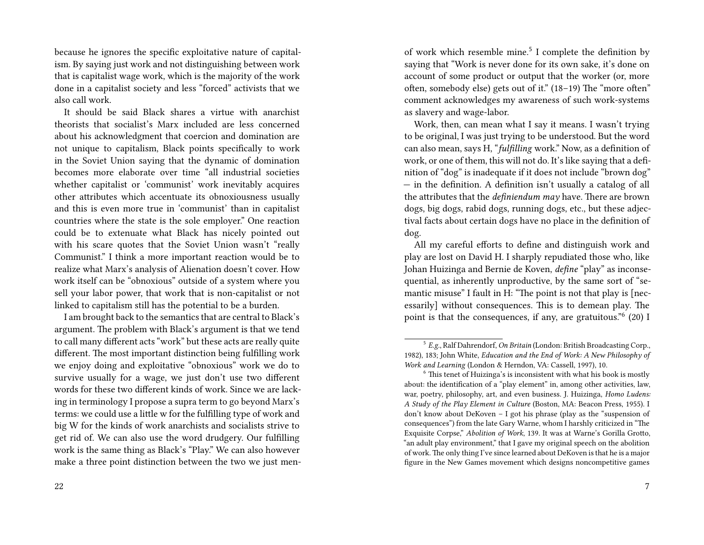because he ignores the specific exploitative nature of capitalism. By saying just work and not distinguishing between work that is capitalist wage work, which is the majority of the work done in a capitalist society and less "forced" activists that we also call work.

It should be said Black shares a virtue with anarchist theorists that socialist's Marx included are less concerned about his acknowledgment that coercion and domination are not unique to capitalism, Black points specifically to work in the Soviet Union saying that the dynamic of domination becomes more elaborate over time "all industrial societies whether capitalist or 'communist' work inevitably acquires other attributes which accentuate its obnoxiousness usually and this is even more true in 'communist' than in capitalist countries where the state is the sole employer." One reaction could be to extenuate what Black has nicely pointed out with his scare quotes that the Soviet Union wasn't "really Communist." I think a more important reaction would be to realize what Marx's analysis of Alienation doesn't cover. How work itself can be "obnoxious" outside of a system where you sell your labor power, that work that is non-capitalist or not linked to capitalism still has the potential to be a burden.

I am brought back to the semantics that are central to Black's argument. The problem with Black's argument is that we tend to call many different acts "work" but these acts are really quite different. The most important distinction being fulfilling work we enjoy doing and exploitative "obnoxious" work we do to survive usually for a wage, we just don't use two different words for these two different kinds of work. Since we are lacking in terminology I propose a supra term to go beyond Marx's terms: we could use a little w for the fulfilling type of work and big W for the kinds of work anarchists and socialists strive to get rid of. We can also use the word drudgery. Our fulfilling work is the same thing as Black's "Play." We can also however make a three point distinction between the two we just men-

of work which resemble mine.<sup>5</sup> I complete the definition by saying that "Work is never done for its own sake, it's done on account of some product or output that the worker (or, more often, somebody else) gets out of it." (18–19) The "more often" comment acknowledges my awareness of such work-systems as slavery and wage-labor.

Work, then, can mean what I say it means. I wasn't trying to be original, I was just trying to be understood. But the word can also mean, says H, "*fulfilling* work." Now, as a definition of work, or one of them, this will not do. It's like saying that a definition of "dog" is inadequate if it does not include "brown dog" — in the definition. A definition isn't usually a catalog of all the attributes that the *definiendum may* have. There are brown dogs, big dogs, rabid dogs, running dogs, etc., but these adjectival facts about certain dogs have no place in the definition of dog.

All my careful efforts to define and distinguish work and play are lost on David H. I sharply repudiated those who, like Johan Huizinga and Bernie de Koven, *define* "play" as inconsequential, as inherently unproductive, by the same sort of "semantic misuse" I fault in H: "The point is not that play is [necessarily] without consequences. This is to demean play. The point is that the consequences, if any, are gratuitous."<sup>6</sup> (20) I

<sup>5</sup> *E.g.*, Ralf Dahrendorf, *On Britain* (London: British Broadcasting Corp., 1982), 183; John White, *Education and the End of Work: A New Philosophy of Work and Learning* (London & Herndon, VA: Cassell, 1997), 10.

 $6$  This tenet of Huizinga's is inconsistent with what his book is mostly about: the identification of a "play element" in, among other activities, law, war, poetry, philosophy, art, and even business. J. Huizinga, *Homo Ludens: A Study of the Play Element in Culture* (Boston, MA: Beacon Press, 1955). I don't know about DeKoven – I got his phrase (play as the "suspension of consequences") from the late Gary Warne, whom I harshly criticized in "The Exquisite Corpse," *Abolition of Work*, 139. It was at Warne's Gorilla Grotto, "an adult play environment," that I gave my original speech on the abolition of work. The only thing I've since learned about DeKoven is that he is a major figure in the New Games movement which designs noncompetitive games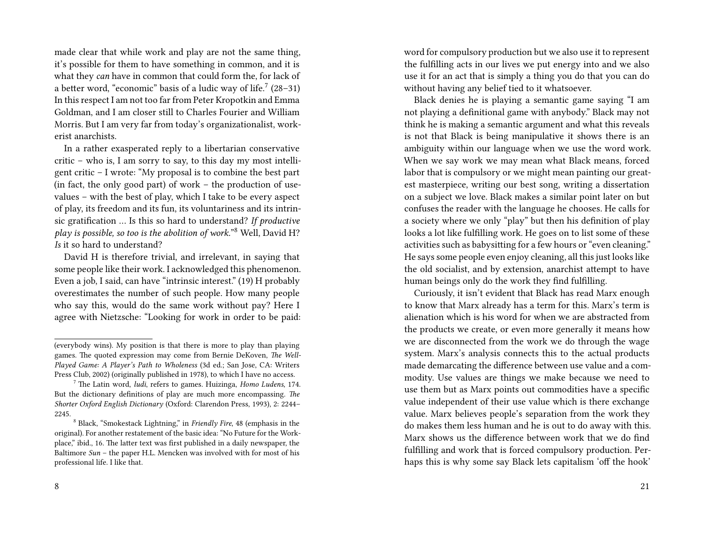made clear that while work and play are not the same thing, it's possible for them to have something in common, and it is what they *can* have in common that could form the, for lack of a better word, "economic" basis of a ludic way of life. $\frac{7}{2}$  (28–31) In this respect I am not too far from Peter Kropotkin and Emma Goldman, and I am closer still to Charles Fourier and William Morris. But I am very far from today's organizationalist, workerist anarchists.

In a rather exasperated reply to a libertarian conservative critic – who is, I am sorry to say, to this day my most intelligent critic – I wrote: "My proposal is to combine the best part (in fact, the only good part) of work – the production of usevalues – with the best of play, which I take to be every aspect of play, its freedom and its fun, its voluntariness and its intrinsic gratification … Is this so hard to understand? *If productive play is possible, so too is the abolition of work.*" <sup>8</sup> Well, David H? *Is* it so hard to understand?

David H is therefore trivial, and irrelevant, in saying that some people like their work. I acknowledged this phenomenon. Even a job, I said, can have "intrinsic interest." (19) H probably overestimates the number of such people. How many people who say this, would do the same work without pay? Here I agree with Nietzsche: "Looking for work in order to be paid: word for compulsory production but we also use it to represent the fulfilling acts in our lives we put energy into and we also use it for an act that is simply a thing you do that you can do without having any belief tied to it whatsoever.

Black denies he is playing a semantic game saying "I am not playing a definitional game with anybody." Black may not think he is making a semantic argument and what this reveals is not that Black is being manipulative it shows there is an ambiguity within our language when we use the word work. When we say work we may mean what Black means, forced labor that is compulsory or we might mean painting our greatest masterpiece, writing our best song, writing a dissertation on a subject we love. Black makes a similar point later on but confuses the reader with the language he chooses. He calls for a society where we only "play" but then his definition of play looks a lot like fulfilling work. He goes on to list some of these activities such as babysitting for a few hours or "even cleaning." He says some people even enjoy cleaning, all this just looks like the old socialist, and by extension, anarchist attempt to have human beings only do the work they find fulfilling.

Curiously, it isn't evident that Black has read Marx enough to know that Marx already has a term for this. Marx's term is alienation which is his word for when we are abstracted from the products we create, or even more generally it means how we are disconnected from the work we do through the wage system. Marx's analysis connects this to the actual products made demarcating the difference between use value and a commodity. Use values are things we make because we need to use them but as Marx points out commodities have a specific value independent of their use value which is there exchange value. Marx believes people's separation from the work they do makes them less human and he is out to do away with this. Marx shows us the difference between work that we do find fulfilling and work that is forced compulsory production. Perhaps this is why some say Black lets capitalism 'off the hook'

<sup>(</sup>everybody wins). My position is that there is more to play than playing games. The quoted expression may come from Bernie DeKoven, *The Well-Played Game: A Player's Path to Wholeness* (3d ed.; San Jose, CA: Writers Press Club, 2002) (originally published in 1978), to which I have no access.

<sup>7</sup> The Latin word, *ludi*, refers to games. Huizinga, *Homo Ludens*, 174. But the dictionary definitions of play are much more encompassing. *The Shorter Oxford English Dictionary* (Oxford: Clarendon Press, 1993), 2: 2244– 2245.

<sup>8</sup> Black, "Smokestack Lightning," in *Friendly Fire*, 48 (emphasis in the original). For another restatement of the basic idea: "No Future for the Workplace," ibid., 16. The latter text was first published in a daily newspaper, the Baltimore *Sun* – the paper H.L. Mencken was involved with for most of his professional life. I like that.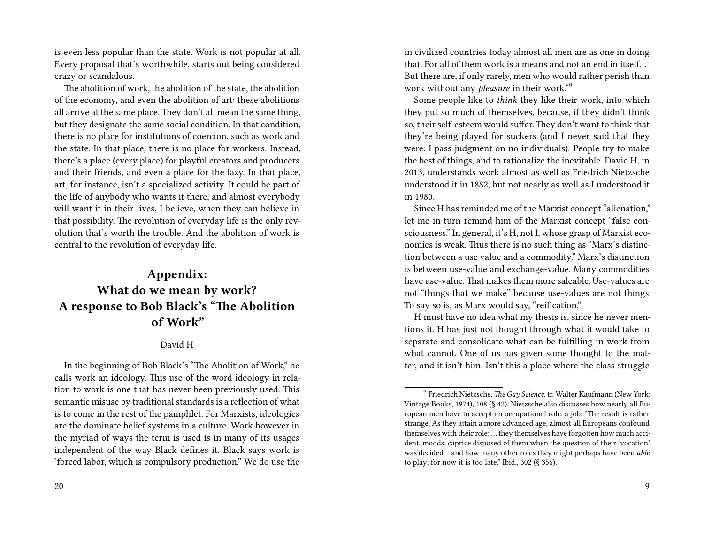is even less popular than the state. Work is not popular at all. Every proposal that's worthwhile, starts out being considered crazy or scandalous.

The abolition of work, the abolition of the state, the abolition of the economy, and even the abolition of art: these abolitions all arrive at the same place. They don't all mean the same thing, but they designate the same social condition. In that condition, there is no place for institutions of coercion, such as work and the state. In that place, there is no place for workers. Instead, there's a place (every place) for playful creators and producers and their friends, and even a place for the lazy. In that place, art, for instance, isn't a specialized activity. It could be part of the life of anybody who wants it there, and almost everybody will want it in their lives, I believe, when they can believe in that possibility. The revolution of everyday life is the only revolution that's worth the trouble. And the abolition of work is central to the revolution of everyday life.

### **Appendix: What do we mean by work? A response to Bob Black's "The Abolition of Work"**

#### David H

In the beginning of Bob Black's "The Abolition of Work," he calls work an ideology. This use of the word ideology in relation to work is one that has never been previously used. This semantic misuse by traditional standards is a reflection of what is to come in the rest of the pamphlet. For Marxists, ideologies are the dominate belief systems in a culture. Work however in the myriad of ways the term is used is in many of its usages independent of the way Black defines it. Black says work is "forced labor, which is compulsory production." We do use the

in civilized countries today almost all men are as one in doing that. For all of them work is a means and not an end in itself… . But there are, if only rarely, men who would rather perish than work without any *pleasure* in their work."<sup>9</sup>

Some people like to *think* they like their work, into which they put so much of themselves, because, if they didn't think so, their self-esteem would suffer. They don't want to think that they're being played for suckers (and I never said that they were: I pass judgment on no individuals). People try to make the best of things, and to rationalize the inevitable. David H, in 2013, understands work almost as well as Friedrich Nietzsche understood it in 1882, but not nearly as well as I understood it in 1980.

Since H has reminded me of the Marxist concept "alienation," let me in turn remind him of the Marxist concept "false consciousness." In general, it's H, not I, whose grasp of Marxist economics is weak. Thus there is no such thing as "Marx's distinction between a use value and a commodity." Marx's distinction is between use-value and exchange-value. Many commodities have use-value. That makes them more saleable. Use-values are not "things that we make" because use-values are not things. To say so is, as Marx would say, "reification."

H must have no idea what my thesis is, since he never mentions it. H has just not thought through what it would take to separate and consolidate what can be fulfilling in work from what cannot. One of us has given some thought to the matter, and it isn't him. Isn't this a place where the class struggle

<sup>9</sup> Friedrich Nietzsche, *The Gay Science*, tr. Walter Kaufmann (New York: Vintage Books, 1974), 108 (§ 42). Nietzsche also discusses how nearly all European men have to accept an occupational role, a job: "The result is rather strange. As they attain a more advanced age, almost all Europeans confound themselves with their role; … they themselves have forgotten how much accident, moods, caprice disposed of them when the question of their 'vocation' was decided – and how many other roles they might perhaps have been *able* to play; for now it is too late." Ibid., 302 (§ 356).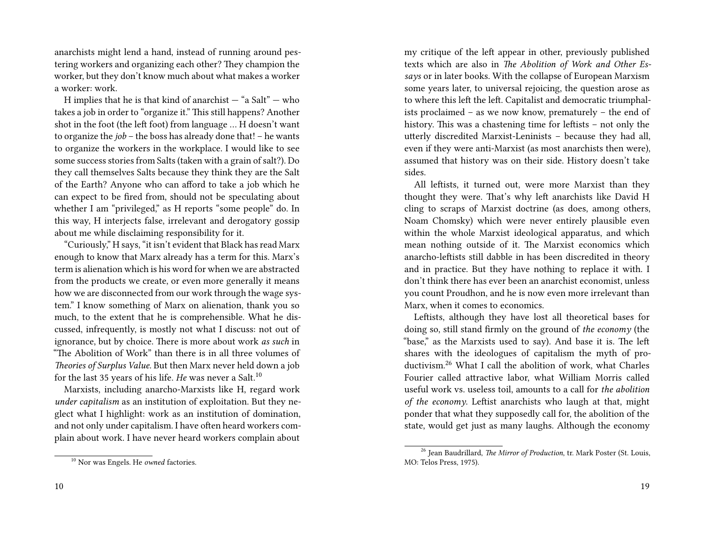anarchists might lend a hand, instead of running around pestering workers and organizing each other? They champion the worker, but they don't know much about what makes a worker a worker: work.

H implies that he is that kind of anarchist  $-$  "a Salt"  $-$  who takes a job in order to "organize it." This still happens? Another shot in the foot (the left foot) from language … H doesn't want to organize the *job* – the boss has already done that! – he wants to organize the workers in the workplace. I would like to see some success stories from Salts (taken with a grain of salt?). Do they call themselves Salts because they think they are the Salt of the Earth? Anyone who can afford to take a job which he can expect to be fired from, should not be speculating about whether I am "privileged," as H reports "some people" do. In this way, H interjects false, irrelevant and derogatory gossip about me while disclaiming responsibility for it.

"Curiously," H says, "it isn't evident that Black has read Marx enough to know that Marx already has a term for this. Marx's term is alienation which is his word for when we are abstracted from the products we create, or even more generally it means how we are disconnected from our work through the wage system." I know something of Marx on alienation, thank you so much, to the extent that he is comprehensible. What he discussed, infrequently, is mostly not what I discuss: not out of ignorance, but by choice. There is more about work *as such* in "The Abolition of Work" than there is in all three volumes of *Theories of Surplus Value.* But then Marx never held down a job for the last 35 years of his life. *He* was never a Salt.<sup>10</sup>

Marxists, including anarcho-Marxists like H, regard work *under capitalism* as an institution of exploitation. But they neglect what I highlight: work as an institution of domination, and not only under capitalism. I have often heard workers complain about work. I have never heard workers complain about

my critique of the left appear in other, previously published texts which are also in *The Abolition of Work and Other Essays* or in later books. With the collapse of European Marxism some years later, to universal rejoicing, the question arose as to where this left the left. Capitalist and democratic triumphalists proclaimed – as we now know, prematurely – the end of history. This was a chastening time for leftists – not only the utterly discredited Marxist-Leninists – because they had all, even if they were anti-Marxist (as most anarchists then were), assumed that history was on their side. History doesn't take sides.

All leftists, it turned out, were more Marxist than they thought they were. That's why left anarchists like David H cling to scraps of Marxist doctrine (as does, among others, Noam Chomsky) which were never entirely plausible even within the whole Marxist ideological apparatus, and which mean nothing outside of it. The Marxist economics which anarcho-leftists still dabble in has been discredited in theory and in practice. But they have nothing to replace it with. I don't think there has ever been an anarchist economist, unless you count Proudhon, and he is now even more irrelevant than Marx, when it comes to economics.

Leftists, although they have lost all theoretical bases for doing so, still stand firmly on the ground of *the economy* (the "base," as the Marxists used to say). And base it is. The left shares with the ideologues of capitalism the myth of productivism.<sup>26</sup> What I call the abolition of work, what Charles Fourier called attractive labor, what William Morris called useful work vs. useless toil, amounts to a call for *the abolition of the economy*. Leftist anarchists who laugh at that, might ponder that what they supposedly call for, the abolition of the state, would get just as many laughs. Although the economy

<sup>10</sup> Nor was Engels. He *owned* factories.

<sup>26</sup> Jean Baudrillard, *The Mirror of Production*, tr. Mark Poster (St. Louis, MO: Telos Press, 1975).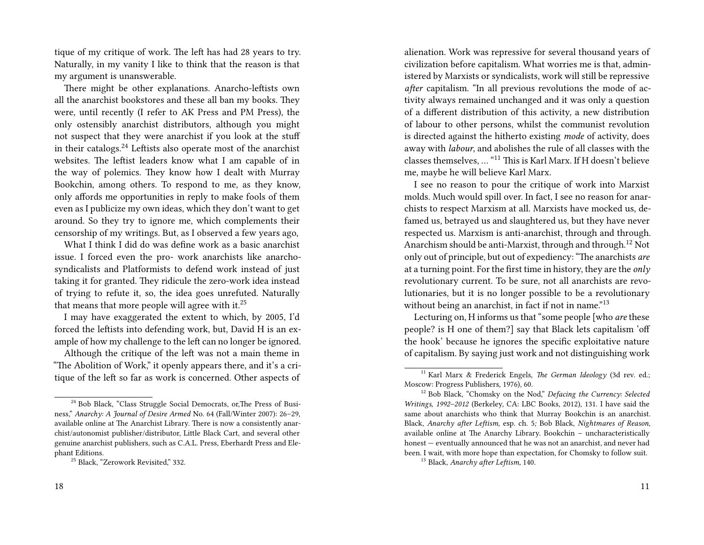tique of my critique of work. The left has had 28 years to try. Naturally, in my vanity I like to think that the reason is that my argument is unanswerable.

There might be other explanations. Anarcho-leftists own all the anarchist bookstores and these all ban my books. They were, until recently (I refer to AK Press and PM Press), the only ostensibly anarchist distributors, although you might not suspect that they were anarchist if you look at the stuff in their catalogs.<sup>24</sup> Leftists also operate most of the anarchist websites. The leftist leaders know what I am capable of in the way of polemics. They know how I dealt with Murray Bookchin, among others. To respond to me, as they know, only affords me opportunities in reply to make fools of them even as I publicize my own ideas, which they don't want to get around. So they try to ignore me, which complements their censorship of my writings. But, as I observed a few years ago,

What I think I did do was define work as a basic anarchist issue. I forced even the pro- work anarchists like anarchosyndicalists and Platformists to defend work instead of just taking it for granted. They ridicule the zero-work idea instead of trying to refute it, so, the idea goes unrefuted. Naturally that means that more people will agree with it. $25$ 

I may have exaggerated the extent to which, by 2005, I'd forced the leftists into defending work, but, David H is an example of how my challenge to the left can no longer be ignored.

Although the critique of the left was not a main theme in "The Abolition of Work," it openly appears there, and it's a critique of the left so far as work is concerned. Other aspects of

alienation. Work was repressive for several thousand years of civilization before capitalism. What worries me is that, administered by Marxists or syndicalists, work will still be repressive *after* capitalism. "In all previous revolutions the mode of activity always remained unchanged and it was only a question of a different distribution of this activity, a new distribution of labour to other persons, whilst the communist revolution is directed against the hitherto existing *mode* of activity, does away with *labour*, and abolishes the rule of all classes with the classes themselves, … "<sup>11</sup> This is Karl Marx. If H doesn't believe me, maybe he will believe Karl Marx.

I see no reason to pour the critique of work into Marxist molds. Much would spill over. In fact, I see no reason for anarchists to respect Marxism at all. Marxists have mocked us, defamed us, betrayed us and slaughtered us, but they have never respected us. Marxism is anti-anarchist, through and through. Anarchism should be anti-Marxist, through and through.<sup>12</sup> Not only out of principle, but out of expediency: "The anarchists *are* at a turning point. For the first time in history, they are the *only* revolutionary current. To be sure, not all anarchists are revolutionaries, but it is no longer possible to be a revolutionary without being an anarchist, in fact if not in name.<sup>"13</sup>

Lecturing on, H informs us that "some people [who *are* these people? is H one of them?] say that Black lets capitalism 'off the hook' because he ignores the specific exploitative nature of capitalism. By saying just work and not distinguishing work

<sup>24</sup> Bob Black, "Class Struggle Social Democrats, or,The Press of Business," *Anarchy: A Journal of Desire Armed* No. 64 (Fall/Winter 2007): 26–29, available online at The Anarchist Library. There is now a consistently anarchist/autonomist publisher/distributor, Little Black Cart, and several other genuine anarchist publishers, such as C.A.L. Press, Eberhardt Press and Elephant Editions.

<sup>&</sup>lt;sup>25</sup> Black, "Zerowork Revisited," 332.

<sup>11</sup> Karl Marx & Frederick Engels, *The German Ideology* (3d rev. ed.; Moscow: Progress Publishers, 1976), 60.

<sup>12</sup> Bob Black, "Chomsky on the Nod," *Defacing the Currency: Selected Writings, 1992–2012* (Berkeley, CA: LBC Books, 2012), 131. I have said the same about anarchists who think that Murray Bookchin is an anarchist. Black, *Anarchy after Leftism,* esp. ch. 5*;* Bob Black, *Nightmares of Reason*, available online at The Anarchy Library. Bookchin – uncharacteristically honest — eventually announced that he was not an anarchist, and never had been. I wait, with more hope than expectation, for Chomsky to follow suit.

<sup>13</sup> Black, *Anarchy after Leftism,* 140.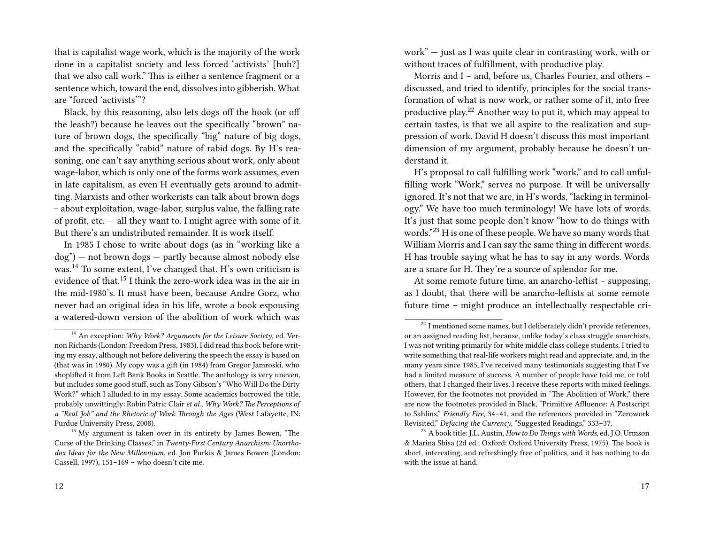that is capitalist wage work, which is the majority of the work done in a capitalist society and less forced 'activists' [huh?] that we also call work." This is either a sentence fragment or a sentence which, toward the end, dissolves into gibberish. What are "forced 'activists'"?

Black, by this reasoning, also lets dogs off the hook (or off the leash?) because he leaves out the specifically "brown" nature of brown dogs, the specifically "big" nature of big dogs, and the specifically "rabid" nature of rabid dogs. By H's reasoning, one can't say anything serious about work, only about wage-labor, which is only one of the forms work assumes, even in late capitalism, as even H eventually gets around to admitting. Marxists and other workerists can talk about brown dogs – about exploitation, wage-labor, surplus value, the falling rate of profit, etc.  $-$  all they want to. I might agree with some of it. But there's an undistributed remainder. It is work itself.

In 1985 I chose to write about dogs (as in "working like a dog") — not brown dogs — partly because almost nobody else was.<sup>14</sup> To some extent, I've changed that. H's own criticism is evidence of that.<sup>15</sup> I think the zero-work idea was in the air in the mid-1980's. It must have been, because Andre Gorz, who never had an original idea in his life, wrote a book espousing a watered-down version of the abolition of work which was work" — just as I was quite clear in contrasting work, with or without traces of fulfillment, with productive play.

Morris and I – and, before us, Charles Fourier, and others – discussed, and tried to identify, principles for the social transformation of what is now work, or rather some of it, into free productive play.<sup>22</sup> Another way to put it, which may appeal to certain tastes, is that we all aspire to the realization and suppression of work. David H doesn't discuss this most important dimension of my argument, probably because he doesn't understand it.

H's proposal to call fulfilling work "work," and to call unfulfilling work "Work," serves no purpose. It will be universally ignored. It's not that we are, in H's words, "lacking in terminology." We have too much terminology! We have lots of words. It's just that some people don't know "how to do things with words."<sup>23</sup> H is one of these people. We have so many words that William Morris and I can say the same thing in different words. H has trouble saying what he has to say in any words. Words are a snare for H. They're a source of splendor for me.

At some remote future time, an anarcho-leftist – supposing, as I doubt, that there will be anarcho-leftists at some remote future time – might produce an intellectually respectable cri-

<sup>14</sup> An exception: *Why Work? Arguments for the Leisure Society*, ed. Vernon Richards (London: Freedom Press, 1983). I did read this book before writing my essay, although not before delivering the speech the essay is based on (that was in 1980). My copy was a gift (in 1984) from Gregor Jamroski, who shoplifted it from Left Bank Books in Seattle. The anthology is very uneven, but includes some good stuff, such as Tony Gibson's "Who Will Do the Dirty Work?" which I alluded to in my essay. Some academics borrowed the title, probably unwittingly: Robin Patric Clair *et al*., *Why Work? The Perceptions of a "Real Job" and the Rhetoric of Work Through the Ages* (West Lafayette, IN: Purdue University Press, 2008).

<sup>&</sup>lt;sup>15</sup> My argument is taken over in its entirety by James Bowen, "The Curse of the Drinking Classes," in *Twenty-First Century Anarchism: Unorthodox Ideas for the New Millennium*, ed. Jon Purkis & James Bowen (London: Cassell, 1997), 151–169 – who doesn't cite me.

<sup>&</sup>lt;sup>22</sup> I mentioned some names, but I deliberately didn't provide references, or an assigned reading list, because, unlike today's class struggle anarchists, I was not writing primarily for white middle class college students. I tried to write something that real-life workers might read and appreciate, and, in the many years since 1985, I've received many testimonials suggesting that I've had a limited measure of success. A number of people have told me, or told others, that I changed their lives. I receive these reports with mixed feelings. However, for the footnotes not provided in "The Abolition of Work," there are now the footnotes provided in Black, "Primitive Affluence: A Postscript to Sahlins," *Friendly Fire*, 34–41, and the references provided in "Zerowork Revisited," *Defacing the Currency*, "Suggested Readings," 333–37.

<sup>23</sup> A book title: J.L. Austin, *How to Do Things with Words*, ed. J.O. Urmson & Marina Sbisa (2d ed.; Oxford: Oxford University Press, 1975). The book is short, interesting, and refreshingly free of politics, and it has nothing to do with the issue at hand.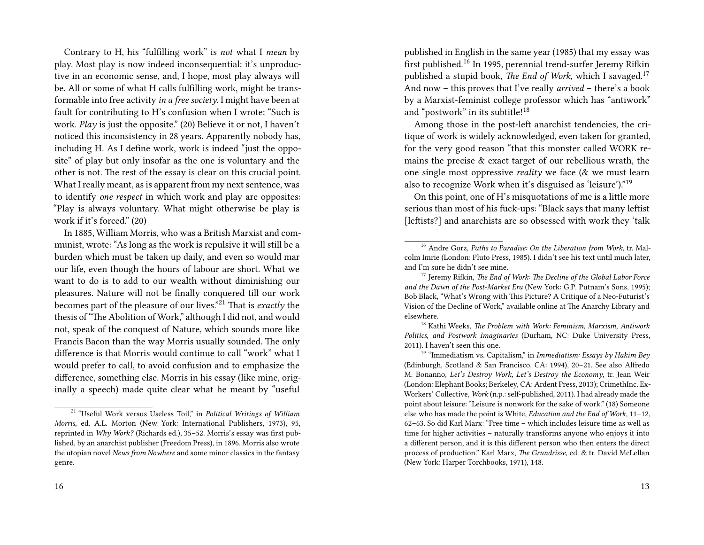Contrary to H, his "fulfilling work" is *not* what I *mean* by play. Most play is now indeed inconsequential: it's unproductive in an economic sense, and, I hope, most play always will be. All or some of what H calls fulfilling work, might be transformable into free activity *in a free society*. I might have been at fault for contributing to H's confusion when I wrote: "Such is work. *Play* is just the opposite." (20) Believe it or not, I haven't noticed this inconsistency in 28 years. Apparently nobody has, including H. As I define work, work is indeed "just the opposite" of play but only insofar as the one is voluntary and the other is not. The rest of the essay is clear on this crucial point. What I really meant, as is apparent from my next sentence, was to identify *one respect* in which work and play are opposites: "Play is always voluntary. What might otherwise be play is work if it's forced." (20)

In 1885, William Morris, who was a British Marxist and communist, wrote: "As long as the work is repulsive it will still be a burden which must be taken up daily, and even so would mar our life, even though the hours of labour are short. What we want to do is to add to our wealth without diminishing our pleasures. Nature will not be finally conquered till our work becomes part of the pleasure of our lives."<sup>21</sup> That is *exactly* the thesis of "The Abolition of Work," although I did not, and would not, speak of the conquest of Nature, which sounds more like Francis Bacon than the way Morris usually sounded. The only difference is that Morris would continue to call "work" what I would prefer to call, to avoid confusion and to emphasize the difference, something else. Morris in his essay (like mine, originally a speech) made quite clear what he meant by "useful

published in English in the same year (1985) that my essay was first published.<sup>16</sup> In 1995, perennial trend-surfer Jeremy Rifkin published a stupid book, *The End of Work,* which I savaged.<sup>17</sup> And now – this proves that I've really *arrived* – there's a book by a Marxist-feminist college professor which has "antiwork" and "postwork" in its subtitle!<sup>18</sup>

Among those in the post-left anarchist tendencies, the critique of work is widely acknowledged, even taken for granted, for the very good reason "that this monster called WORK remains the precise & exact target of our rebellious wrath, the one single most oppressive *reality* we face (& we must learn also to recognize Work when it's disguised as 'leisure')."<sup>19</sup>

On this point, one of H's misquotations of me is a little more serious than most of his fuck-ups: "Black says that many leftist [leftists?] and anarchists are so obsessed with work they 'talk

<sup>18</sup> Kathi Weeks, *The Problem with Work: Feminism, Marxism, Antiwork Politics, and Postwork Imaginaries* (Durham, NC: Duke University Press, 2011). I haven't seen this one.

<sup>&</sup>lt;sup>21</sup> "Useful Work versus Useless Toil," in *Political Writings of William Morris*, ed. A.L. Morton (New York: International Publishers, 1973), 95, reprinted in *Why Work?* (Richards ed.), 35–52. Morris's essay was first published, by an anarchist publisher (Freedom Press), in 1896. Morris also wrote the utopian novel *News from Nowhere* and some minor classics in the fantasy genre.

<sup>16</sup> Andre Gorz, *Paths to Paradise: On the Liberation from Work*, tr. Malcolm Imrie (London: Pluto Press, 1985). I didn't see his text until much later, and I'm sure he didn't see mine.

<sup>17</sup> Jeremy Rifkin, *The End of Work: The Decline of the Global Labor Force and the Dawn of the Post-Market Era* (New York: G.P. Putnam's Sons, 1995); Bob Black, "What's Wrong with This Picture? A Critique of a Neo-Futurist's Vision of the Decline of Work," available online at The Anarchy Library and elsewhere.

<sup>19</sup> "Immediatism vs. Capitalism," in *Immediatism: Essays by Hakim Bey* (Edinburgh, Scotland & San Francisco, CA: 1994), 20–21. See also Alfredo M. Bonanno, *Let's Destroy Work, Let's Destroy the Economy*, tr. Jean Weir (London: Elephant Books; Berkeley, CA: Ardent Press, 2013); CrimethInc. Ex-Workers' Collective, *Work* (n.p.: self-published, 2011). I had already made the point about leisure: "Leisure is nonwork for the sake of work." (18) Someone else who has made the point is White, *Education and the End of Work*, 11–12, 62–63. So did Karl Marx: "Free time – which includes leisure time as well as time for higher activities – naturally transforms anyone who enjoys it into a different person, and it is this different person who then enters the direct process of production." Karl Marx, *The Grundrisse*, ed. & tr. David McLellan (New York: Harper Torchbooks, 1971), 148.